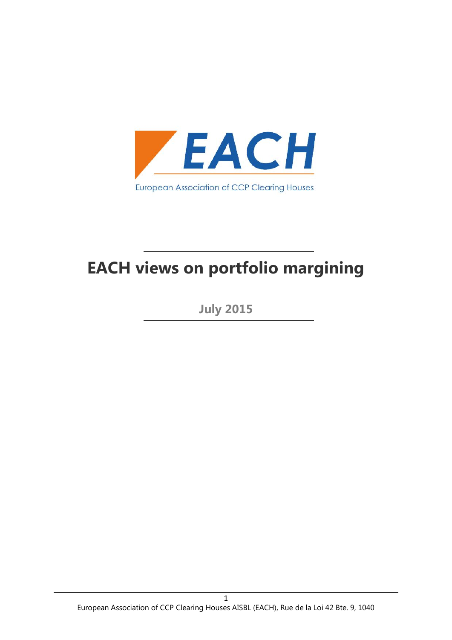

# **EACH views on portfolio margining**

**July 2015**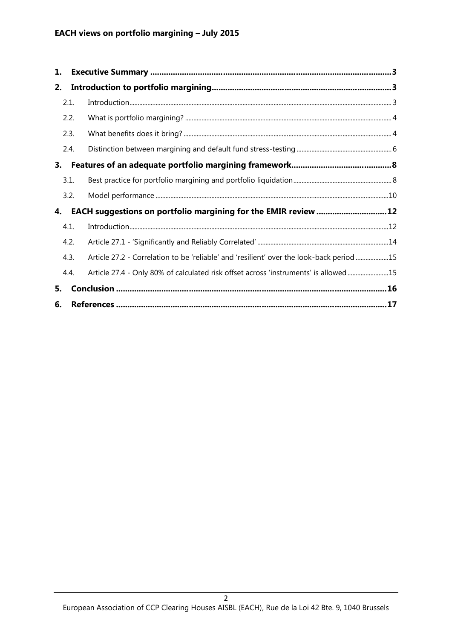| 1. |      |                                                                                          |  |
|----|------|------------------------------------------------------------------------------------------|--|
| 2. |      |                                                                                          |  |
|    | 2.1. |                                                                                          |  |
|    | 2.2. |                                                                                          |  |
|    | 2.3. |                                                                                          |  |
|    | 2.4. |                                                                                          |  |
| 3. |      |                                                                                          |  |
|    | 3.1. |                                                                                          |  |
|    | 3.2. |                                                                                          |  |
| 4. |      |                                                                                          |  |
|    | 4.1. |                                                                                          |  |
|    | 4.2. |                                                                                          |  |
|    | 4.3. | Article 27.2 - Correlation to be 'reliable' and 'resilient' over the look-back period 15 |  |
|    | 4.4. | Article 27.4 - Only 80% of calculated risk offset across 'instruments' is allowed 15     |  |
| 5. |      |                                                                                          |  |
| 6. |      |                                                                                          |  |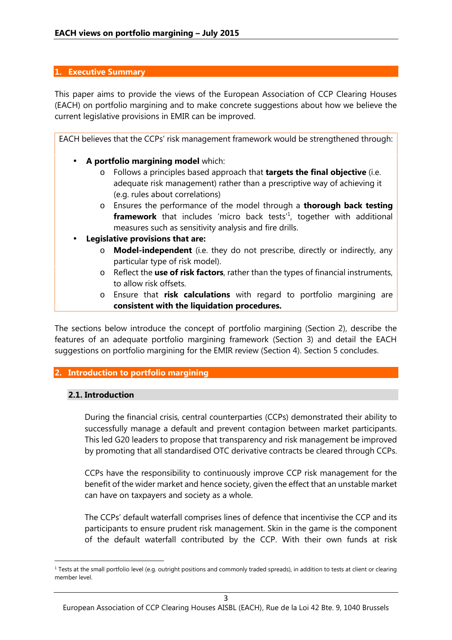## **1. Executive Summary**

This paper aims to provide the views of the European Association of CCP Clearing Houses (EACH) on portfolio margining and to make concrete suggestions about how we believe the current legislative provisions in EMIR can be improved.

EACH believes that the CCPs' risk management framework would be strengthened through:

- **A portfolio margining model** which:
	- o Follows a principles based approach that **targets the final objective** (i.e. adequate risk management) rather than a prescriptive way of achieving it (e.g. rules about correlations)
	- o Ensures the performance of the model through a **thorough back testing framework** that includes 'micro back tests'<sup>1</sup>, together with additional measures such as sensitivity analysis and fire drills.
- **Legislative provisions that are:**
	- o **Model-independent** (i.e. they do not prescribe, directly or indirectly, any particular type of risk model).
	- o Reflect the **use of risk factors**, rather than the types of financial instruments, to allow risk offsets.
	- o Ensure that **risk calculations** with regard to portfolio margining are **consistent with the liquidation procedures.**

The sections below introduce the concept of portfolio margining (Section 2), describe the features of an adequate portfolio margining framework (Section 3) and detail the EACH suggestions on portfolio margining for the EMIR review (Section 4). Section 5 concludes.

# **2. Introduction to portfolio margining**

#### **2.1. Introduction**

During the financial crisis, central counterparties (CCPs) demonstrated their ability to successfully manage a default and prevent contagion between market participants. This led G20 leaders to propose that transparency and risk management be improved by promoting that all standardised OTC derivative contracts be cleared through CCPs.

CCPs have the responsibility to continuously improve CCP risk management for the benefit of the wider market and hence society, given the effect that an unstable market can have on taxpayers and society as a whole.

The CCPs' default waterfall comprises lines of defence that incentivise the CCP and its participants to ensure prudent risk management. Skin in the game is the component of the default waterfall contributed by the CCP. With their own funds at risk

 $1$  Tests at the small portfolio level (e.g. outright positions and commonly traded spreads), in addition to tests at client or clearing member level.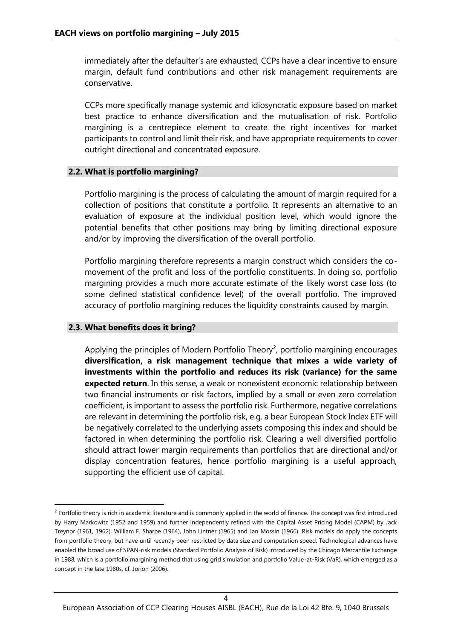immediately after the defaulter's are exhausted, CCPs have a clear incentive to ensure margin, default fund contributions and other risk management requirements are conservative.

CCPs more specifically manage systemic and idiosyncratic exposure based on market best practice to enhance diversification and the mutualisation of risk. Portfolio margining is a centrepiece element to create the right incentives for market participants to control and limit their risk, and have appropriate requirements to cover outright directional and concentrated exposure.

## **2.2. What is portfolio margining?**

Portfolio margining is the process of calculating the amount of margin required for a collection of positions that constitute a portfolio. It represents an alternative to an evaluation of exposure at the individual position level, which would ignore the potential benefits that other positions may bring by limiting directional exposure and/or by improving the diversification of the overall portfolio.

Portfolio margining therefore represents a margin construct which considers the co movement of the profit and loss of the portfolio constituents. In doing so, portfolio margining provides a much more accurate estimate of the likely worst case loss (to some defined statistical confidence level) of the overall portfolio. The improved accuracy of portfolio margining reduces the liquidity constraints caused by margin.

# **2.3. What benefits does it bring?**

Applying the principles of Modern Portfolio Theory<sup>2</sup>, portfolio margining encourages **diversification, a risk management technique that mixes a wide variety of investments within the portfolio and reduces its risk (variance) for the same expected return**. In this sense, a weak or nonexistent economic relationship between two financial instruments or risk factors, implied by a small or even zero correlation coefficient, is important to assess the portfolio risk. Furthermore, negative correlations are relevant in determining the portfolio risk, e.g. a bear European Stock Index ETF will be negatively correlated to the underlying assets composing this index and should be factored in when determining the portfolio risk. Clearing a well diversified portfolio should attract lower margin requirements than portfolios that are directional and/or display concentration features, hence portfolio margining is a useful approach, supporting the efficient use of capital.

<sup>&</sup>lt;sup>2</sup> Portfolio theory is rich in academic literature and is commonly applied in the world of finance. The concept was first introduced by Harry Markowitz (1952 and 1959) and further independently refined with the Capital Asset Pricing Model (CAPM) by Jack Treynor (1961, 1962), William F. Sharpe (1964), John Lintner (1965) and Jan Mossin (1966). Risk models do apply the concepts from portfolio theory, but have until recently been restricted by data size and computation speed. Technological advances have enabled the broad use of SPAN-risk models (Standard Portfolio Analysis of Risk) introduced by the Chicago Mercantile Exchange in 1988, which is a portfolio margining method that using grid simulation and portfolio Value-at-Risk (VaR), which emerged as a concept in the late 1980s, cf. Jorion (2006).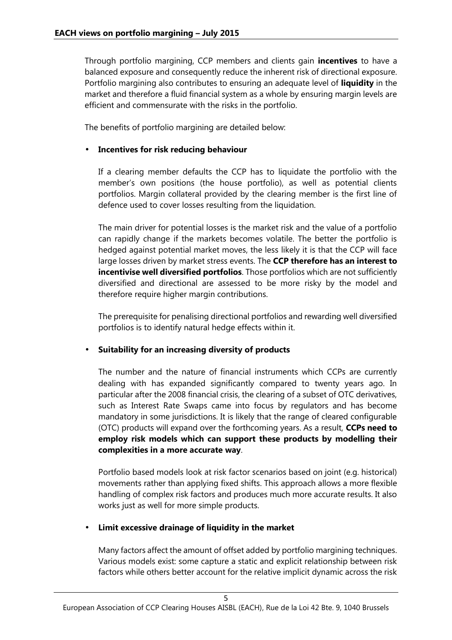Through portfolio margining, CCP members and clients gain **incentives** to have a balanced exposure and consequently reduce the inherent risk of directional exposure. Portfolio margining also contributes to ensuring an adequate level of **liquidity** in the market and therefore a fluid financial system as a whole by ensuring margin levels are efficient and commensurate with the risks in the portfolio.

The benefits of portfolio margining are detailed below:

## **Incentives for risk reducing behaviour**

If a clearing member defaults the CCP has to liquidate the portfolio with the member's own positions (the house portfolio), as well as potential clients portfolios. Margin collateral provided by the clearing member is the first line of defence used to cover losses resulting from the liquidation.

The main driver for potential losses is the market risk and the value of a portfolio can rapidly change if the markets becomes volatile. The better the portfolio is hedged against potential market moves, the less likely it is that the CCP will face large losses driven by market stress events. The **CCP therefore has an interest to incentivise well diversified portfolios**. Those portfolios which are not sufficiently diversified and directional are assessed to be more risky by the model and therefore require higher margin contributions.

The prerequisite for penalising directional portfolios and rewarding well diversified portfolios is to identify natural hedge effects within it.

#### **Suitability for an increasing diversity of products**

The number and the nature of financial instruments which CCPs are currently dealing with has expanded significantly compared to twenty years ago. In particular after the 2008 financial crisis, the clearing of a subset of OTC derivatives, such as Interest Rate Swaps came into focus by regulators and has become mandatory in some jurisdictions. It is likely that the range of cleared configurable (OTC) products will expand over the forthcoming years. As a result, **CCPs need to employ risk models which can support these products by modelling their complexities in a more accurate way**.

Portfolio based models look at risk factor scenarios based on joint (e.g. historical) movements rather than applying fixed shifts. This approach allows a more flexible handling of complex risk factors and produces much more accurate results. It also works just as well for more simple products.

# **Limit excessive drainage of liquidity in the market**

Many factors affect the amount of offset added by portfolio margining techniques. Various models exist: some capture a static and explicit relationship between risk factors while others better account for the relative implicit dynamic across the risk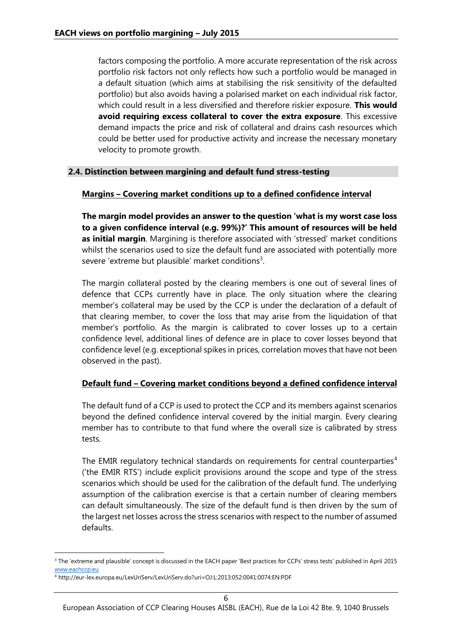factors composing the portfolio. A more accurate representation of the risk across portfolio risk factors not only reflects how such a portfolio would be managed in a default situation (which aims at stabilising the risk sensitivity of the defaulted portfolio) but also avoids having a polarised market on each individual risk factor, which could result in a less diversified and therefore riskier exposure. **This would avoid requiring excess collateral to cover the extra exposure**. This excessive demand impacts the price and risk of collateral and drains cash resources which could be better used for productive activity and increase the necessary monetary velocity to promote growth.

## **2.4. Distinction between margining and default fund stress-testing**

## **Margins – Covering market conditions up to a defined confidence interval**

**The margin model provides an answer to the question 'what is my worst case loss to a given confidence interval (e.g. 99%)?' This amount of resources will be held as initial margin**. Margining is therefore associated with 'stressed' market conditions whilst the scenarios used to size the default fund are associated with potentially more severe 'extreme but plausible' market conditions<sup>3</sup>.

The margin collateral posted by the clearing members is one out of several lines of defence that CCPs currently have in place. The only situation where the clearing member's collateral may be used by the CCP is under the declaration of a default of that clearing member, to cover the loss that may arise from the liquidation of that member's portfolio. As the margin is calibrated to cover losses up to a certain confidence level, additional lines of defence are in place to cover losses beyond that confidence level (e.g. exceptional spikes in prices, correlation moves that have not been observed in the past).

# **Default fund – Covering market conditions beyond a defined confidence interval**

The default fund of a CCP is used to protect the CCP and its members against scenarios beyond the defined confidence interval covered by the initial margin. Every clearing member has to contribute to that fund where the overall size is calibrated by stress tests.

The EMIR regulatory technical standards on requirements for central counterparties<sup>4</sup> ('the EMIR RTS') include explicit provisions around the scope and type of the stress scenarios which should be used for the calibration of the default fund. The underlying assumption of the calibration exercise is that a certain number of clearing members can default simultaneously. The size of the default fund is then driven by the sum of the largest net losses across the stress scenarios with respect to the number of assumed defaults.

<sup>&</sup>lt;sup>3</sup> The 'extreme and plausible' concept is discussed in the EACH paper 'Best practices for CCPs' stress tests' published in April 2015 www.eachccp.eu

<sup>4</sup> http://eur-lex.europa.eu/LexUriServ/LexUriServ.do?uri=OJ:L:2013:052:0041:0074:EN:PDF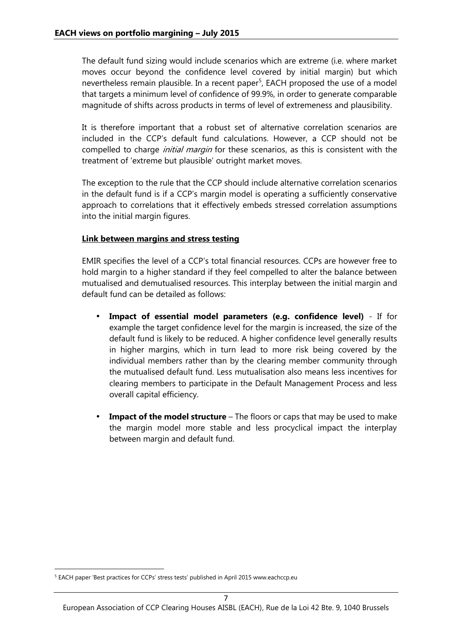The default fund sizing would include scenarios which are extreme (i.e. where market moves occur beyond the confidence level covered by initial margin) but which nevertheless remain plausible. In a recent paper<sup>5</sup>, EACH proposed the use of a model that targets a minimum level of confidence of 99.9%, in order to generate comparable magnitude of shifts across products in terms of level of extremeness and plausibility.

It is therefore important that a robust set of alternative correlation scenarios are included in the CCP's default fund calculations. However, a CCP should not be compelled to charge *initial margin* for these scenarios, as this is consistent with the treatment of 'extreme but plausible' outright market moves.

The exception to the rule that the CCP should include alternative correlation scenarios in the default fund is if a CCP's margin model is operating a sufficiently conservative approach to correlations that it effectively embeds stressed correlation assumptions into the initial margin figures.

## **Link between margins and stress testing**

EMIR specifies the level of a CCP's total financial resources. CCPs are however free to hold margin to a higher standard if they feel compelled to alter the balance between mutualised and demutualised resources. This interplay between the initial margin and default fund can be detailed as follows:

- **Impact of essential model parameters (e.g. confidence level)** If for example the target confidence level for the margin is increased, the size of the default fund is likely to be reduced. A higher confidence level generally results in higher margins, which in turn lead to more risk being covered by the individual members rather than by the clearing member community through the mutualised default fund. Less mutualisation also means less incentives for clearing members to participate in the Default Management Process and less overall capital efficiency.
- **Impact of the model structure** The floors or caps that may be used to make the margin model more stable and less procyclical impact the interplay between margin and default fund.

<sup>&</sup>lt;sup>5</sup> EACH paper 'Best practices for CCPs' stress tests' published in April 2015 www.eachccp.eu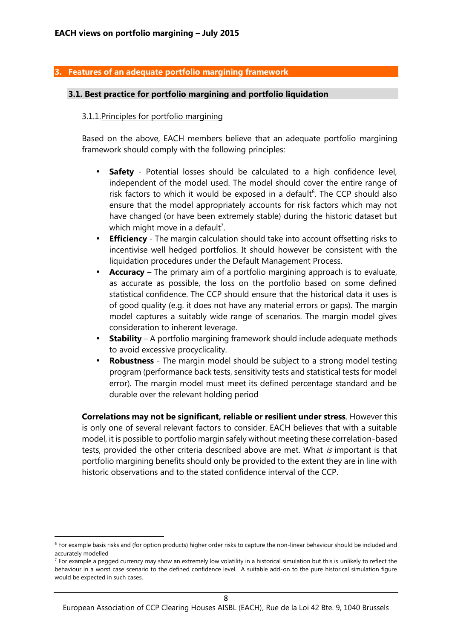## **3. Features of an adequate portfolio margining framework**

#### **3.1. Best practice for portfolio margining and portfolio liquidation**

#### 3.1.1.Principles for portfolio margining

Based on the above, EACH members believe that an adequate portfolio margining framework should comply with the following principles:

- **Safety** Potential losses should be calculated to a high confidence level, independent of the model used. The model should cover the entire range of risk factors to which it would be exposed in a default<sup>6</sup>. The CCP should also ensure that the model appropriately accounts for risk factors which may not have changed (or have been extremely stable) during the historic dataset but which might move in a default<sup>7</sup>.
- **Efficiency** The margin calculation should take into account offsetting risks to incentivise well hedged portfolios. It should however be consistent with the liquidation procedures under the Default Management Process.
- **Accuracy** The primary aim of a portfolio margining approach is to evaluate, as accurate as possible, the loss on the portfolio based on some defined statistical confidence. The CCP should ensure that the historical data it uses is of good quality (e.g. it does not have any material errors or gaps). The margin model captures a suitably wide range of scenarios. The margin model gives consideration to inherent leverage.
- **Stability** A portfolio margining framework should include adequate methods to avoid excessive procyclicality.
- **Robustness** The margin model should be subject to a strong model testing program (performance back tests, sensitivity tests and statistical tests for model error). The margin model must meet its defined percentage standard and be durable over the relevant holding period

**Correlations may not be significant, reliable or resilient under stress**. However this is only one of several relevant factors to consider. EACH believes that with a suitable model, it is possible to portfolio margin safely without meeting these correlation-based tests, provided the other criteria described above are met. What *is* important is that portfolio margining benefits should only be provided to the extent they are in line with historic observations and to the stated confidence interval of the CCP.

<sup>6</sup> For example basis risks and (for option products) higher order risks to capture the non-linear behaviour should be included and accurately modelled

 $<sup>7</sup>$  For example a pegged currency may show an extremely low volatility in a historical simulation but this is unlikely to reflect the</sup> behaviour in a worst case scenario to the defined confidence level. A suitable add-on to the pure historical simulation figure would be expected in such cases.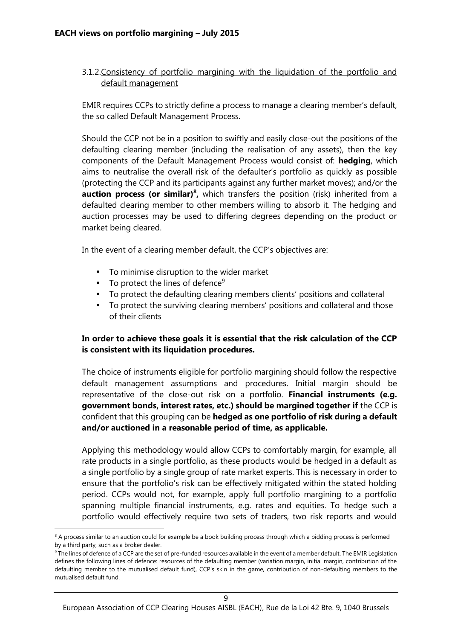# 3.1.2.Consistency of portfolio margining with the liquidation of the portfolio and default management

EMIR requires CCPs to strictly define a process to manage a clearing member's default, the so called Default Management Process.

Should the CCP not be in a position to swiftly and easily close-out the positions of the defaulting clearing member (including the realisation of any assets), then the key components of the Default Management Process would consist of: **hedging**, which aims to neutralise the overall risk of the defaulter's portfolio as quickly as possible (protecting the CCP and its participants against any further market moves); and/or the **auction process (or similar)<sup>8</sup>**, which transfers the position (risk) inherited from a defaulted clearing member to other members willing to absorb it. The hedging and auction processes may be used to differing degrees depending on the product or market being cleared.

In the event of a clearing member default, the CCP's objectives are:

- To minimise disruption to the wider market
- $\bullet$  To protect the lines of defence<sup>9</sup>
- To protect the defaulting clearing members clients' positions and collateral
- To protect the surviving clearing members' positions and collateral and those of their clients

# **In order to achieve these goals it is essential that the risk calculation of the CCP is consistent with its liquidation procedures.**

The choice of instruments eligible for portfolio margining should follow the respective default management assumptions and procedures. Initial margin should be representative of the close-out risk on a portfolio. **Financial instruments (e.g. government bonds, interest rates, etc.) should be margined together if** the CCP is confident that this grouping can be **hedged as one portfolio of risk during a default and/or auctioned in a reasonable period of time, as applicable.**

Applying this methodology would allow CCPs to comfortably margin, for example, all rate products in a single portfolio, as these products would be hedged in a default as a single portfolio by a single group of rate market experts. This is necessary in order to ensure that the portfolio's risk can be effectively mitigated within the stated holding period. CCPs would not, for example, apply full portfolio margining to a portfolio spanning multiple financial instruments, e.g. rates and equities. To hedge such a portfolio would effectively require two sets of traders, two risk reports and would

<sup>&</sup>lt;sup>8</sup> A process similar to an auction could for example be a book building process through which a bidding process is performed by a third party, such as a broker dealer.

<sup>&</sup>lt;sup>9</sup> The lines of defence of a CCP are the set of pre-funded resources available in the event of a member default. The EMIR Legislation defines the following lines of defence: resources of the defaulting member (variation margin, initial margin, contribution of the defaulting member to the mutualised default fund), CCP's skin in the game, contribution of non-defaulting members to the mutualised default fund.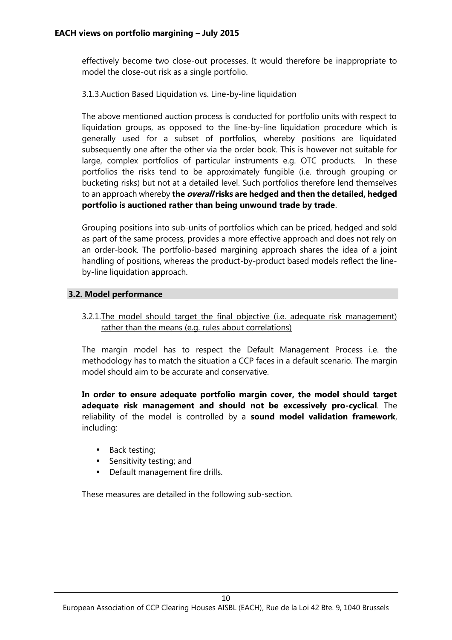effectively become two close-out processes. It would therefore be inappropriate to model the close-out risk as a single portfolio.

# 3.1.3.Auction Based Liquidation vs. Line-by-line liquidation

The above mentioned auction process is conducted for portfolio units with respect to liquidation groups, as opposed to the line-by-line liquidation procedure which is generally used for a subset of portfolios, whereby positions are liquidated subsequently one after the other via the order book. This is however not suitable for large, complex portfolios of particular instruments e.g. OTC products. In these portfolios the risks tend to be approximately fungible (i.e. through grouping or bucketing risks) but not at a detailed level. Such portfolios therefore lend themselves to an approach whereby **the** *overall* **risks are hedged and then the detailed, hedged portfolio is auctioned rather than being unwound trade by trade**.

Grouping positions into sub-units of portfolios which can be priced, hedged and sold as part of the same process, provides a more effective approach and does not rely on an order-book. The portfolio-based margining approach shares the idea of a joint handling of positions, whereas the product-by-product based models reflect the line by-line liquidation approach.

# **3.2. Model performance**

3.2.1.The model should target the final objective (i.e. adequate risk management) rather than the means (e.g. rules about correlations)

The margin model has to respect the Default Management Process i.e. the methodology has to match the situation a CCP faces in a default scenario. The margin model should aim to be accurate and conservative.

**In order to ensure adequate portfolio margin cover, the model should target adequate risk management and should not be excessively pro-cyclical**. The reliability of the model is controlled by a **sound model validation framework**, including:

- Back testing;
- Sensitivity testing; and
- Default management fire drills.

These measures are detailed in the following sub-section.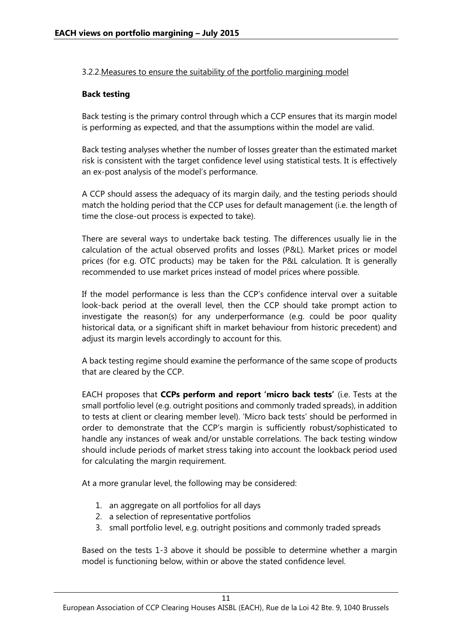## 3.2.2.Measures to ensure the suitability of the portfolio margining model

## **Back testing**

Back testing is the primary control through which a CCP ensures that its margin model is performing as expected, and that the assumptions within the model are valid.

Back testing analyses whether the number of losses greater than the estimated market risk is consistent with the target confidence level using statistical tests. It is effectively an ex-post analysis of the model's performance.

A CCP should assess the adequacy of its margin daily, and the testing periods should match the holding period that the CCP uses for default management (i.e. the length of time the close-out process is expected to take).

There are several ways to undertake back testing. The differences usually lie in the calculation of the actual observed profits and losses (P&L). Market prices or model prices (for e.g. OTC products) may be taken for the P&L calculation. It is generally recommended to use market prices instead of model prices where possible.

If the model performance is less than the CCP's confidence interval over a suitable look-back period at the overall level, then the CCP should take prompt action to investigate the reason(s) for any underperformance (e.g. could be poor quality historical data, or a significant shift in market behaviour from historic precedent) and adjust its margin levels accordingly to account for this.

A back testing regime should examine the performance of the same scope of products that are cleared by the CCP.

EACH proposes that **CCPs perform and report 'micro back tests'** (i.e. Tests at the small portfolio level (e.g. outright positions and commonly traded spreads), in addition to tests at client or clearing member level). 'Micro back tests' should be performed in order to demonstrate that the CCP's margin is sufficiently robust/sophisticated to handle any instances of weak and/or unstable correlations. The back testing window should include periods of market stress taking into account the lookback period used for calculating the margin requirement.

At a more granular level, the following may be considered:

- 1. an aggregate on all portfolios for all days
- 2. a selection of representative portfolios
- 3. small portfolio level, e.g. outright positions and commonly traded spreads

Based on the tests 1-3 above it should be possible to determine whether a margin model is functioning below, within or above the stated confidence level.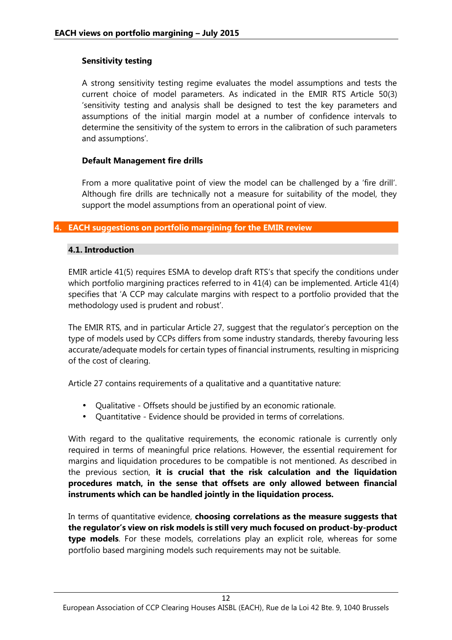# **Sensitivity testing**

A strong sensitivity testing regime evaluates the model assumptions and tests the current choice of model parameters. As indicated in the EMIR RTS Article 50(3) 'sensitivity testing and analysis shall be designed to test the key parameters and assumptions of the initial margin model at a number of confidence intervals to determine the sensitivity of the system to errors in the calibration of such parameters and assumptions'.

## **Default Management fire drills**

From a more qualitative point of view the model can be challenged by a 'fire drill'. Although fire drills are technically not a measure for suitability of the model, they support the model assumptions from an operational point of view.

#### **4. EACH suggestions on portfolio margining for the EMIR review**

## **4.1. Introduction**

EMIR article 41(5) requires ESMA to develop draft RTS's that specify the conditions under which portfolio margining practices referred to in 41(4) can be implemented. Article 41(4) specifies that 'A CCP may calculate margins with respect to a portfolio provided that the methodology used is prudent and robust'.

The EMIR RTS, and in particular Article 27, suggest that the regulator's perception on the type of models used by CCPs differs from some industry standards, thereby favouring less accurate/adequate models for certain types of financial instruments, resulting in mispricing of the cost of clearing.

Article 27 contains requirements of a qualitative and a quantitative nature:

- Qualitative Offsets should be justified by an economic rationale.
- Quantitative Evidence should be provided in terms of correlations.

With regard to the qualitative requirements, the economic rationale is currently only required in terms of meaningful price relations. However, the essential requirement for margins and liquidation procedures to be compatible is not mentioned. As described in the previous section, **it is crucial that the risk calculation and the liquidation procedures match, in the sense that offsets are only allowed between financial instruments which can be handled jointly in the liquidation process.**

In terms of quantitative evidence, **choosing correlations as the measure suggests that the regulator's view on risk models is still very much focused on product-by-product type models**. For these models, correlations play an explicit role, whereas for some portfolio based margining models such requirements may not be suitable.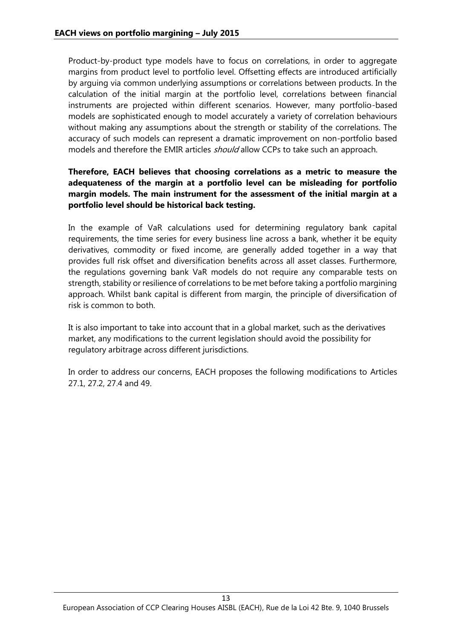Product-by-product type models have to focus on correlations, in order to aggregate margins from product level to portfolio level. Offsetting effects are introduced artificially by arguing via common underlying assumptions or correlations between products. In the calculation of the initial margin at the portfolio level, correlations between financial instruments are projected within different scenarios. However, many portfolio-based models are sophisticated enough to model accurately a variety of correlation behaviours without making any assumptions about the strength or stability of the correlations. The accuracy of such models can represent a dramatic improvement on non-portfolio based models and therefore the EMIR articles *should* allow CCPs to take such an approach.

# **Therefore, EACH believes that choosing correlations as a metric to measure the adequateness of the margin at a portfolio level can be misleading for portfolio margin models. The main instrument for the assessment of the initial margin at a portfolio level should be historical back testing.**

In the example of VaR calculations used for determining regulatory bank capital requirements, the time series for every business line across a bank, whether it be equity derivatives, commodity or fixed income, are generally added together in a way that provides full risk offset and diversification benefits across all asset classes. Furthermore, the regulations governing bank VaR models do not require any comparable tests on strength, stability or resilience of correlations to be met before taking a portfolio margining approach. Whilst bank capital is different from margin, the principle of diversification of risk is common to both.

It is also important to take into account that in a global market, such as the derivatives market, any modifications to the current legislation should avoid the possibility for regulatory arbitrage across different jurisdictions.

In order to address our concerns, EACH proposes the following modifications to Articles 27.1, 27.2, 27.4 and 49.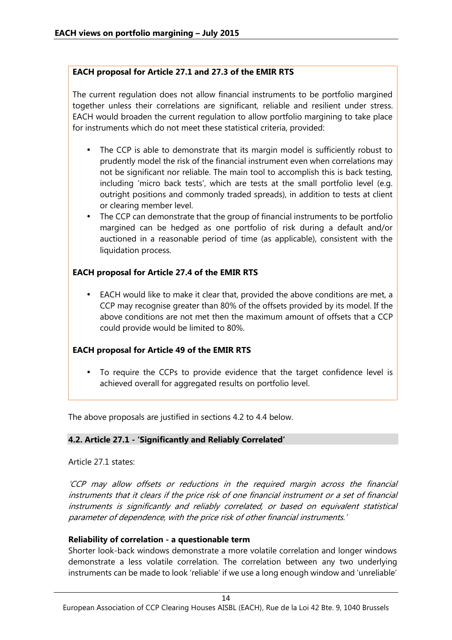# **EACH proposal for Article 27.1 and 27.3 of the EMIR RTS**

The current regulation does not allow financial instruments to be portfolio margined together unless their correlations are significant, reliable and resilient under stress. EACH would broaden the current regulation to allow portfolio margining to take place for instruments which do not meet these statistical criteria, provided:

- The CCP is able to demonstrate that its margin model is sufficiently robust to prudently model the risk of the financial instrument even when correlations may not be significant nor reliable. The main tool to accomplish this is back testing, including 'micro back tests', which are tests at the small portfolio level (e.g. outright positions and commonly traded spreads), in addition to tests at client or clearing member level.
- The CCP can demonstrate that the group of financial instruments to be portfolio margined can be hedged as one portfolio of risk during a default and/or auctioned in a reasonable period of time (as applicable), consistent with the liquidation process.

# **EACH proposal for Article 27.4 of the EMIR RTS**

 EACH would like to make it clear that, provided the above conditions are met, a CCP may recognise greater than 80% of the offsets provided by its model. If the above conditions are not met then the maximum amount of offsets that a CCP could provide would be limited to 80%.

# **EACH proposal for Article 49 of the EMIR RTS**

 To require the CCPs to provide evidence that the target confidence level is achieved overall for aggregated results on portfolio level.

The above proposals are justified in sections 4.2 to 4.4 below.

# **4.2. Article 27.1 - 'Significantly and Reliably Correlated'**

# Article 27.1 states:

*'CCP may allow offsets or reductions in the required margin across the financial instruments that it clears if the price risk of one financial instrument or a set of financial instruments is significantly and reliably correlated, or based on equivalent statistical parameter of dependence, with the price risk of other financial instruments.'*

# **Reliability of correlation - a questionable term**

Shorter look-back windows demonstrate a more volatile correlation and longer windows demonstrate a less volatile correlation. The correlation between any two underlying instruments can be made to look 'reliable' if we use a long enough window and 'unreliable'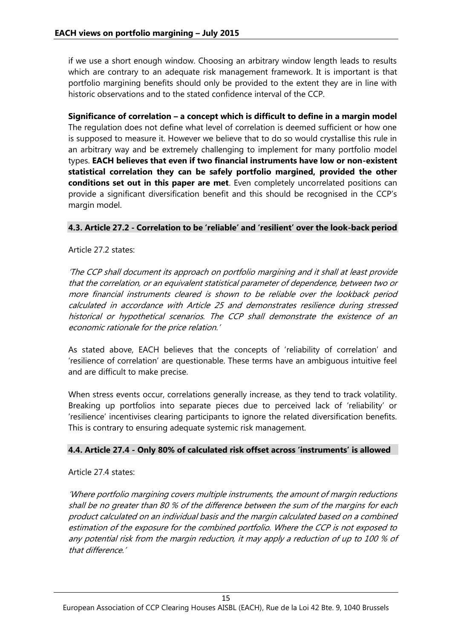if we use a short enough window. Choosing an arbitrary window length leads to results which are contrary to an adequate risk management framework. It is important is that portfolio margining benefits should only be provided to the extent they are in line with historic observations and to the stated confidence interval of the CCP.

**Significance of correlation –a concept which is difficult to define in a margin model** The regulation does not define what level of correlation is deemed sufficient or how one is supposed to measure it. However we believe that to do so would crystallise this rule in an arbitrary way and be extremely challenging to implement for many portfolio model types. **EACH believes that even if two financial instruments have low or non-existent statistical correlation they can be safely portfolio margined, provided the other conditions set out in this paper are met**. Even completely uncorrelated positions can provide a significant diversification benefit and this should be recognised in the CCP's margin model.

# **4.3. Article 27.2 - Correlation to be 'reliable' and 'resilient' over the look-back period**

## Article 27.2 states:

*'The CCP shall document its approach on portfolio margining and it shall at least provide that the correlation, or an equivalent statistical parameter of dependence, between two or more financial instruments cleared is shown to be reliable over the lookback period calculated in accordance with Article 25 and demonstrates resilience during stressed historical or hypothetical scenarios. The CCP shall demonstrate the existence of an economic rationale for the price relation.'*

As stated above, EACH believes that the concepts of 'reliability of correlation' and 'resilience of correlation' are questionable. These terms have an ambiguous intuitive feel and are difficult to make precise.

When stress events occur, correlations generally increase, as they tend to track volatility. Breaking up portfolios into separate pieces due to perceived lack of 'reliability' or 'resilience' incentivises clearing participants to ignore the related diversification benefits. This is contrary to ensuring adequate systemic risk management.

# **4.4. Article 27.4 - Only 80% of calculated risk offset across 'instruments' is allowed**

#### Article 27.4 states:

*'Where portfolio margining covers multiple instruments, the amount of margin reductions shall be no greater than 80 % of the difference between the sum of the margins for each product calculated on an individual basis and the margin calculated based on a combined estimation of the exposure for the combined portfolio. Where the CCP is not exposed to any potential risk from the margin reduction, it may apply a reduction of up to 100 % of that difference.'*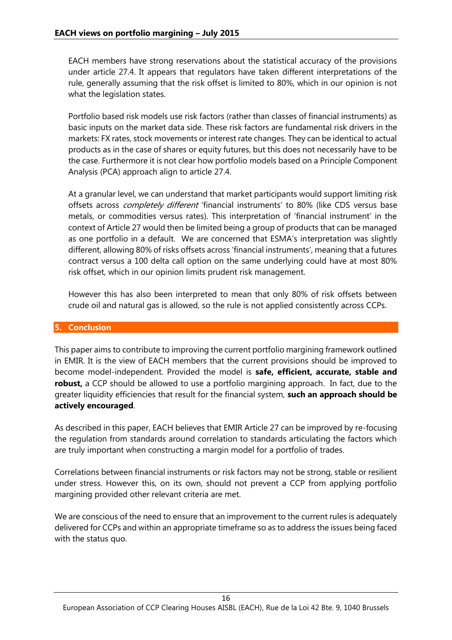EACH members have strong reservations about the statistical accuracy of the provisions under article 27.4. It appears that regulators have taken different interpretations of the rule, generally assuming that the risk offset is limited to 80%, which in our opinion is not what the legislation states.

Portfolio based risk models use risk factors (rather than classes of financial instruments) as basic inputs on the market data side. These risk factors are fundamental risk drivers in the markets: FX rates, stock movements or interest rate changes. They can be identical to actual products as in the case of shares or equity futures, but this does not necessarily have to be the case. Furthermore it is not clear how portfolio models based on a Principle Component Analysis (PCA) approach align to article 27.4.

At a granular level, we can understand that market participants would support limiting risk offsets across *completely different* 'financial instruments' to 80% (like CDS versus base metals, or commodities versus rates). This interpretation of 'financial instrument' in the context of Article 27 would then be limited being a group of products that can be managed as one portfolio in a default. We are concerned that ESMA's interpretation was slightly different, allowing 80% of risks offsets across 'financial instruments', meaning that a futures contract versus a 100 delta call option on the same underlying could have at most 80% risk offset, which in our opinion limits prudent risk management.

However this has also been interpreted to mean that only 80% of risk offsets between crude oil and natural gas is allowed, so the rule is not applied consistently across CCPs.

# **5. Conclusion**

This paper aims to contribute to improving the current portfolio margining framework outlined in EMIR. It is the view of EACH members that the current provisions should be improved to become model-independent. Provided the model is **safe, efficient, accurate, stable and robust,** a CCP should be allowed to use a portfolio margining approach. In fact, due to the greater liquidity efficiencies that result for the financial system, **such an approach should be actively encouraged**.

As described in this paper, EACH believes that EMIR Article 27 can be improved by re-focusing the regulation from standards around correlation to standards articulating the factors which are truly important when constructing a margin model for a portfolio of trades.

Correlations between financial instruments or risk factors may not be strong, stable or resilient under stress. However this, on its own, should not prevent a CCP from applying portfolio margining provided other relevant criteria are met.

We are conscious of the need to ensure that an improvement to the current rules is adequately delivered for CCPs and within an appropriate timeframe so as to address the issues being faced with the status quo.